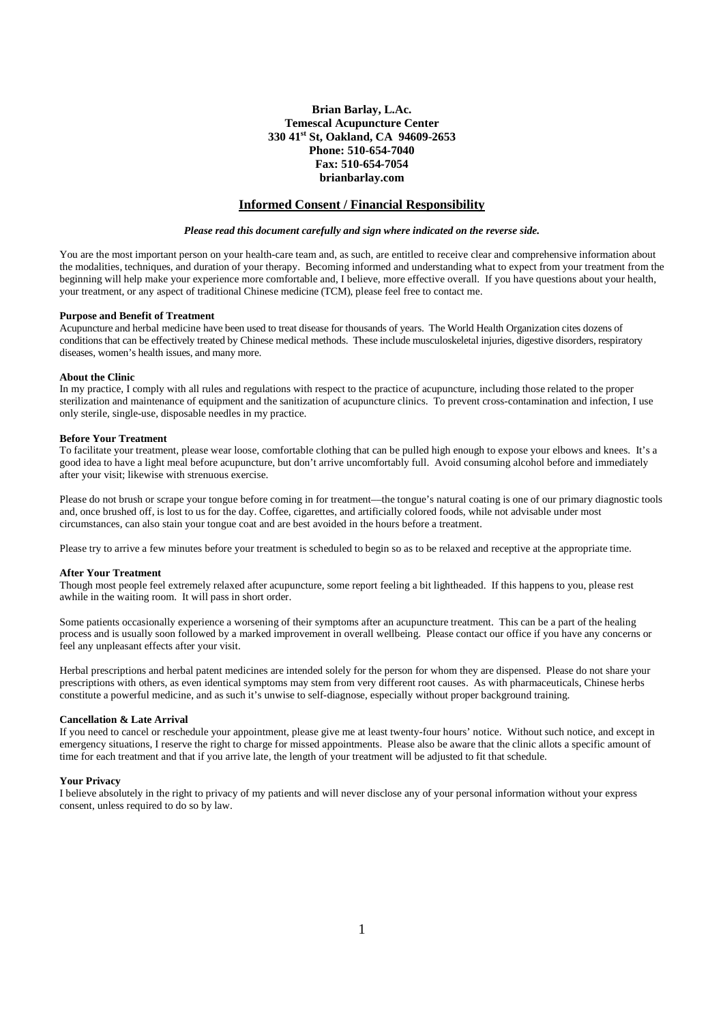# **Brian Barlay, L.Ac. Temescal Acupuncture Center 330 41st St, Oakland, CA 94609-2653 Phone: 510-654-7040 Fax: 510-654-7054 brianbarlay.com**

# **Informed Consent / Financial Responsibility**

## *Please read this document carefully and sign where indicated on the reverse side.*

You are the most important person on your health-care team and, as such, are entitled to receive clear and comprehensive information about the modalities, techniques, and duration of your therapy. Becoming informed and understanding what to expect from your treatment from the beginning will help make your experience more comfortable and, I believe, more effective overall. If you have questions about your health, your treatment, or any aspect of traditional Chinese medicine (TCM), please feel free to contact me.

### **Purpose and Benefit of Treatment**

Acupuncture and herbal medicine have been used to treat disease for thousands of years. The World Health Organization cites dozens of conditions that can be effectively treated by Chinese medical methods. These include musculoskeletal injuries, digestive disorders, respiratory diseases, women's health issues, and many more.

### **About the Clinic**

In my practice, I comply with all rules and regulations with respect to the practice of acupuncture, including those related to the proper sterilization and maintenance of equipment and the sanitization of acupuncture clinics. To prevent cross-contamination and infection, I use only sterile, single-use, disposable needles in my practice.

## **Before Your Treatment**

To facilitate your treatment, please wear loose, comfortable clothing that can be pulled high enough to expose your elbows and knees. It's a good idea to have a light meal before acupuncture, but don't arrive uncomfortably full. Avoid consuming alcohol before and immediately after your visit; likewise with strenuous exercise.

Please do not brush or scrape your tongue before coming in for treatment––the tongue's natural coating is one of our primary diagnostic tools and, once brushed off, is lost to us for the day. Coffee, cigarettes, and artificially colored foods, while not advisable under most circumstances, can also stain your tongue coat and are best avoided in the hours before a treatment.

Please try to arrive a few minutes before your treatment is scheduled to begin so as to be relaxed and receptive at the appropriate time.

## **After Your Treatment**

Though most people feel extremely relaxed after acupuncture, some report feeling a bit lightheaded. If this happens to you, please rest awhile in the waiting room. It will pass in short order.

Some patients occasionally experience a worsening of their symptoms after an acupuncture treatment. This can be a part of the healing process and is usually soon followed by a marked improvement in overall wellbeing. Please contact our office if you have any concerns or feel any unpleasant effects after your visit.

Herbal prescriptions and herbal patent medicines are intended solely for the person for whom they are dispensed. Please do not share your prescriptions with others, as even identical symptoms may stem from very different root causes. As with pharmaceuticals, Chinese herbs constitute a powerful medicine, and as such it's unwise to self-diagnose, especially without proper background training.

### **Cancellation & Late Arrival**

If you need to cancel or reschedule your appointment, please give me at least twenty-four hours' notice. Without such notice, and except in emergency situations, I reserve the right to charge for missed appointments. Please also be aware that the clinic allots a specific amount of time for each treatment and that if you arrive late, the length of your treatment will be adjusted to fit that schedule.

### **Your Privacy**

I believe absolutely in the right to privacy of my patients and will never disclose any of your personal information without your express consent, unless required to do so by law.